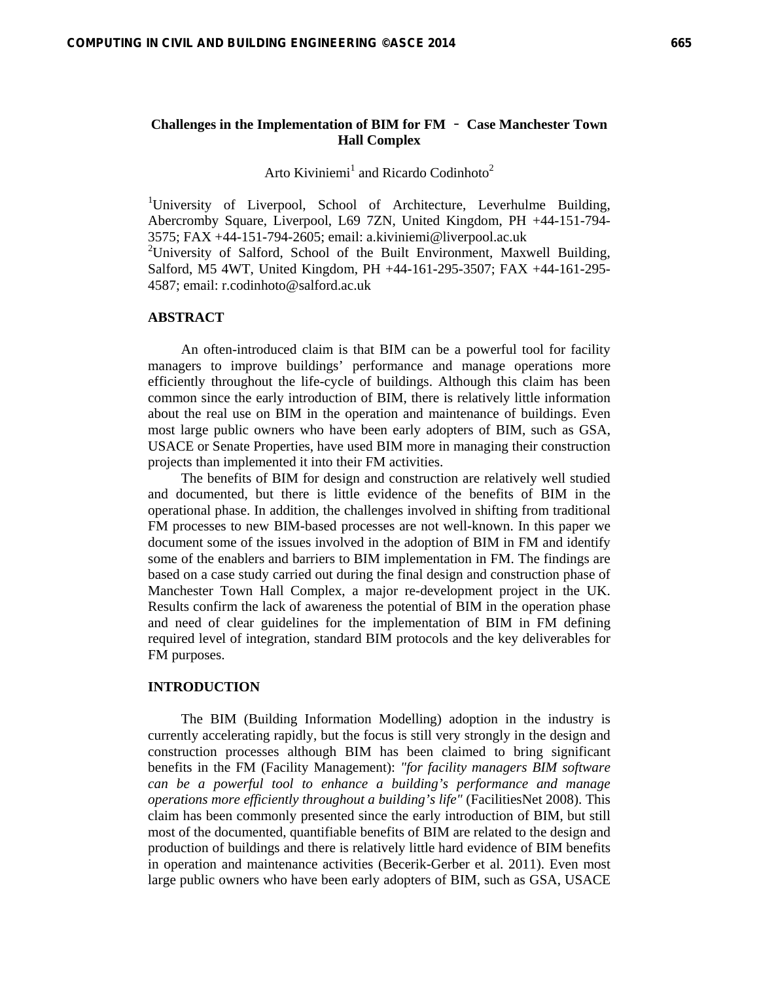## **Challenges in the Implementation of BIM for FM ̵ Case Manchester Town Hall Complex**

# Arto Kiviniemi<sup>1</sup> and Ricardo Codinhoto<sup>2</sup>

<sup>1</sup>University of Liverpool, School of Architecture, Leverhulme Building, Abercromby Square, Liverpool, L69 7ZN, United Kingdom, PH +44-151-794- 3575; FAX +44-151-794-2605; email: a.kiviniemi@liverpool.ac.uk <sup>2</sup>University of Salford, School of the Built Environment, Maxwell Building, Salford, M5 4WT, United Kingdom, PH +44-161-295-3507; FAX +44-161-295- 4587; email: r.codinhoto@salford.ac.uk

### **ABSTRACT**

An often-introduced claim is that BIM can be a powerful tool for facility managers to improve buildings' performance and manage operations more efficiently throughout the life-cycle of buildings. Although this claim has been common since the early introduction of BIM, there is relatively little information about the real use on BIM in the operation and maintenance of buildings. Even most large public owners who have been early adopters of BIM, such as GSA, USACE or Senate Properties, have used BIM more in managing their construction projects than implemented it into their FM activities.

The benefits of BIM for design and construction are relatively well studied and documented, but there is little evidence of the benefits of BIM in the operational phase. In addition, the challenges involved in shifting from traditional FM processes to new BIM-based processes are not well-known. In this paper we document some of the issues involved in the adoption of BIM in FM and identify some of the enablers and barriers to BIM implementation in FM. The findings are based on a case study carried out during the final design and construction phase of Manchester Town Hall Complex, a major re-development project in the UK. Results confirm the lack of awareness the potential of BIM in the operation phase and need of clear guidelines for the implementation of BIM in FM defining required level of integration, standard BIM protocols and the key deliverables for FM purposes.

### **INTRODUCTION**

The BIM (Building Information Modelling) adoption in the industry is currently accelerating rapidly, but the focus is still very strongly in the design and construction processes although BIM has been claimed to bring significant benefits in the FM (Facility Management): *"for facility managers BIM software can be a powerful tool to enhance a building's performance and manage operations more efficiently throughout a building's life"* (FacilitiesNet 2008). This claim has been commonly presented since the early introduction of BIM, but still most of the documented, quantifiable benefits of BIM are related to the design and production of buildings and there is relatively little hard evidence of BIM benefits in operation and maintenance activities (Becerik-Gerber et al. 2011). Even most large public owners who have been early adopters of BIM, such as GSA, USACE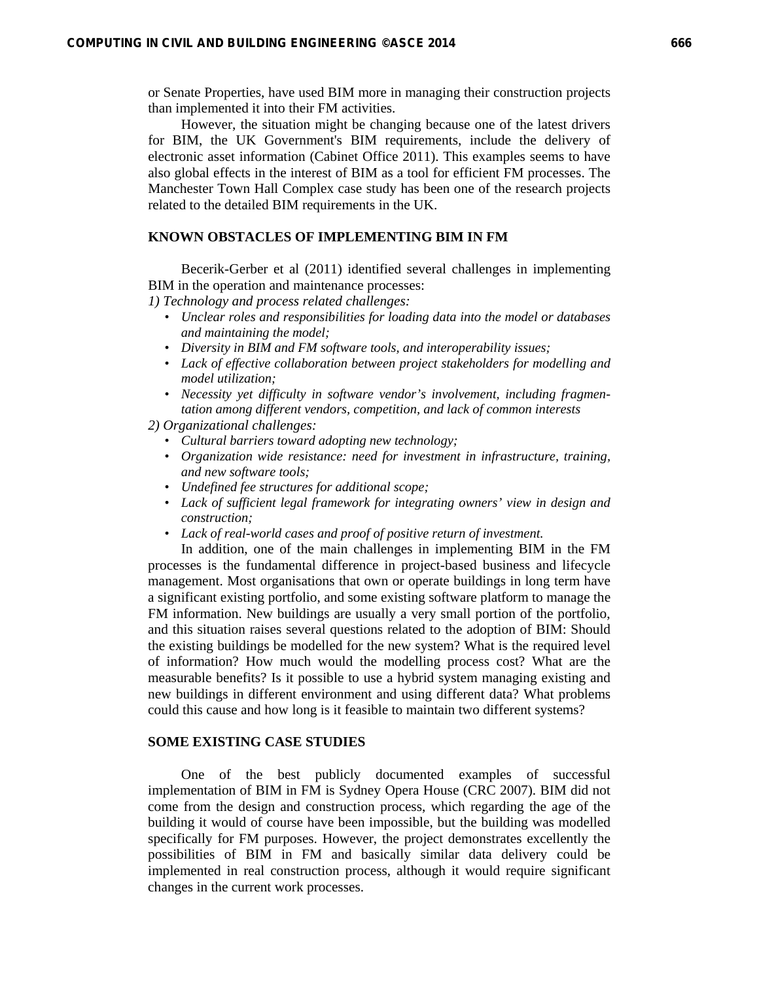or Senate Properties, have used BIM more in managing their construction projects than implemented it into their FM activities.

However, the situation might be changing because one of the latest drivers for BIM, the UK Government's BIM requirements, include the delivery of electronic asset information (Cabinet Office 2011). This examples seems to have also global effects in the interest of BIM as a tool for efficient FM processes. The Manchester Town Hall Complex case study has been one of the research projects related to the detailed BIM requirements in the UK.

### **KNOWN OBSTACLES OF IMPLEMENTING BIM IN FM**

Becerik-Gerber et al (2011) identified several challenges in implementing BIM in the operation and maintenance processes:

*1) Technology and process related challenges:* 

- *Unclear roles and responsibilities for loading data into the model or databases and maintaining the model;*
- *Diversity in BIM and FM software tools, and interoperability issues;*
- *Lack of effective collaboration between project stakeholders for modelling and model utilization;*
- *Necessity yet difficulty in software vendor's involvement, including fragmentation among different vendors, competition, and lack of common interests*
- *2) Organizational challenges:* 
	- *Cultural barriers toward adopting new technology;*
	- *Organization wide resistance: need for investment in infrastructure, training, and new software tools;*
	- *Undefined fee structures for additional scope;*
	- *Lack of sufficient legal framework for integrating owners' view in design and construction;*
	- *Lack of real-world cases and proof of positive return of investment.*

In addition, one of the main challenges in implementing BIM in the FM processes is the fundamental difference in project-based business and lifecycle management. Most organisations that own or operate buildings in long term have a significant existing portfolio, and some existing software platform to manage the FM information. New buildings are usually a very small portion of the portfolio, and this situation raises several questions related to the adoption of BIM: Should the existing buildings be modelled for the new system? What is the required level of information? How much would the modelling process cost? What are the measurable benefits? Is it possible to use a hybrid system managing existing and new buildings in different environment and using different data? What problems could this cause and how long is it feasible to maintain two different systems?

# **SOME EXISTING CASE STUDIES**

One of the best publicly documented examples of successful implementation of BIM in FM is Sydney Opera House (CRC 2007). BIM did not come from the design and construction process, which regarding the age of the building it would of course have been impossible, but the building was modelled specifically for FM purposes. However, the project demonstrates excellently the possibilities of BIM in FM and basically similar data delivery could be implemented in real construction process, although it would require significant changes in the current work processes.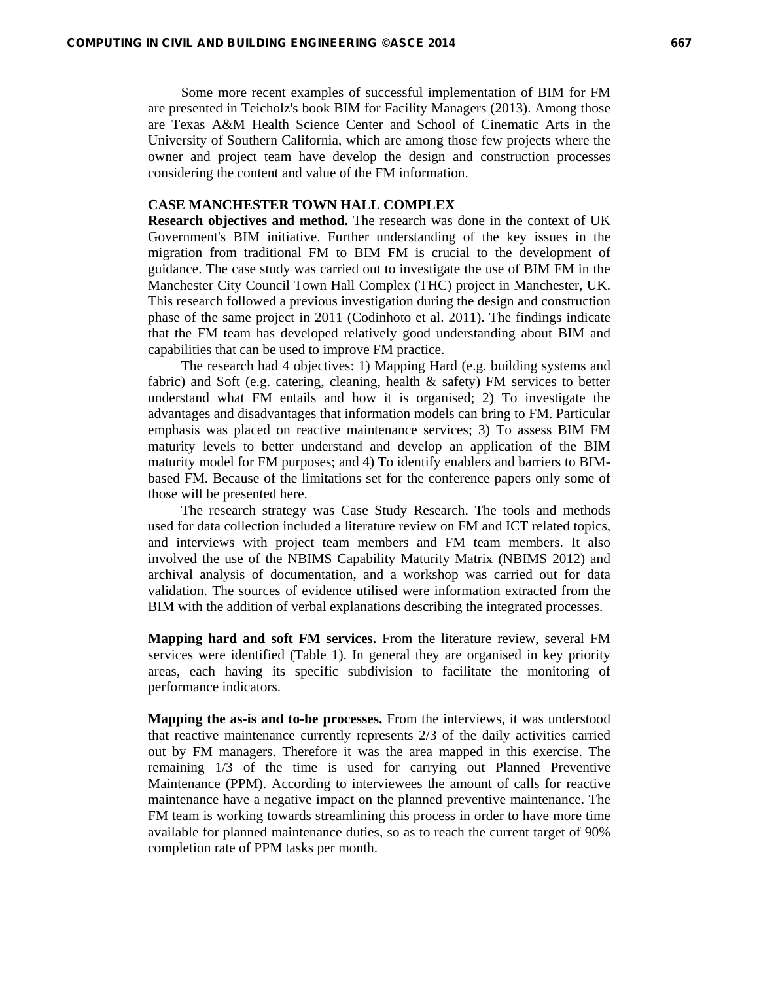Some more recent examples of successful implementation of BIM for FM are presented in Teicholz's book BIM for Facility Managers (2013). Among those are Texas A&M Health Science Center and School of Cinematic Arts in the University of Southern California, which are among those few projects where the owner and project team have develop the design and construction processes considering the content and value of the FM information.

### **CASE MANCHESTER TOWN HALL COMPLEX**

**Research objectives and method.** The research was done in the context of UK Government's BIM initiative. Further understanding of the key issues in the migration from traditional FM to BIM FM is crucial to the development of guidance. The case study was carried out to investigate the use of BIM FM in the Manchester City Council Town Hall Complex (THC) project in Manchester, UK. This research followed a previous investigation during the design and construction phase of the same project in 2011 (Codinhoto et al. 2011). The findings indicate that the FM team has developed relatively good understanding about BIM and capabilities that can be used to improve FM practice.

The research had 4 objectives: 1) Mapping Hard (e.g. building systems and fabric) and Soft (e.g. catering, cleaning, health & safety) FM services to better understand what FM entails and how it is organised; 2) To investigate the advantages and disadvantages that information models can bring to FM. Particular emphasis was placed on reactive maintenance services; 3) To assess BIM FM maturity levels to better understand and develop an application of the BIM maturity model for FM purposes; and 4) To identify enablers and barriers to BIMbased FM. Because of the limitations set for the conference papers only some of those will be presented here.

The research strategy was Case Study Research. The tools and methods used for data collection included a literature review on FM and ICT related topics, and interviews with project team members and FM team members. It also involved the use of the NBIMS Capability Maturity Matrix (NBIMS 2012) and archival analysis of documentation, and a workshop was carried out for data validation. The sources of evidence utilised were information extracted from the BIM with the addition of verbal explanations describing the integrated processes.

**Mapping hard and soft FM services.** From the literature review, several FM services were identified (Table 1). In general they are organised in key priority areas, each having its specific subdivision to facilitate the monitoring of performance indicators.

**Mapping the as-is and to-be processes.** From the interviews, it was understood that reactive maintenance currently represents 2/3 of the daily activities carried out by FM managers. Therefore it was the area mapped in this exercise. The remaining 1/3 of the time is used for carrying out Planned Preventive Maintenance (PPM). According to interviewees the amount of calls for reactive maintenance have a negative impact on the planned preventive maintenance. The FM team is working towards streamlining this process in order to have more time available for planned maintenance duties, so as to reach the current target of 90% completion rate of PPM tasks per month.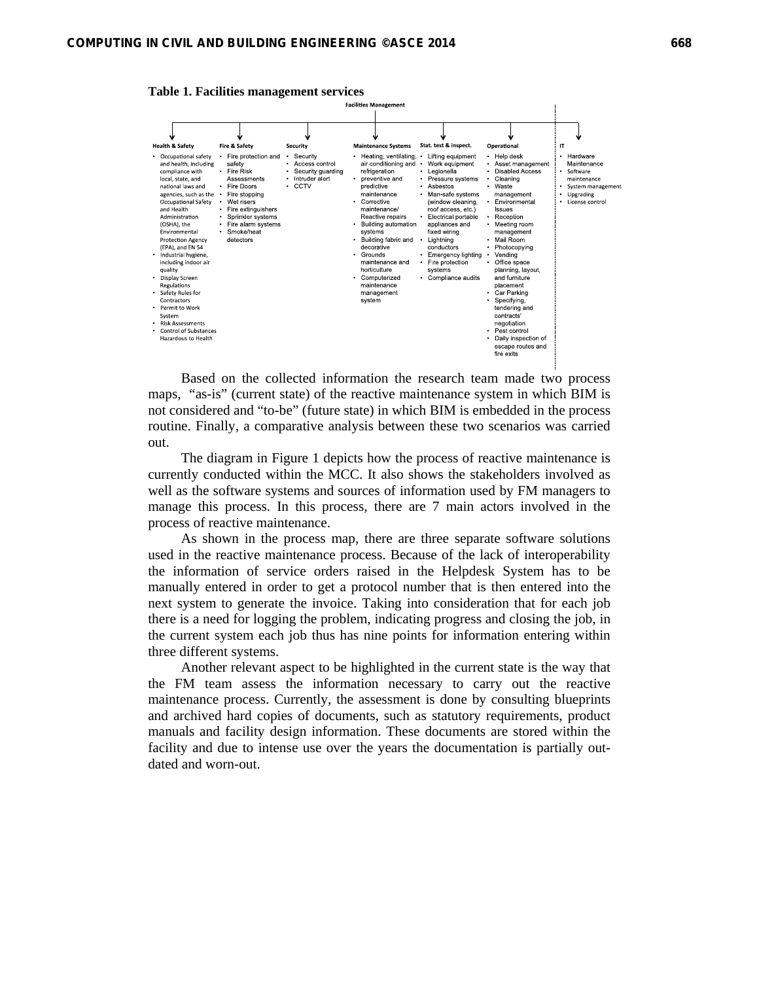

**Table 1. Facilities management services** 

Based on the collected information the research team made two process maps, "as-is" (current state) of the reactive maintenance system in which BIM is not considered and "to-be" (future state) in which BIM is embedded in the process routine. Finally, a comparative analysis between these two scenarios was carried out.

The diagram in Figure 1 depicts how the process of reactive maintenance is currently conducted within the MCC. It also shows the stakeholders involved as well as the software systems and sources of information used by FM managers to manage this process. In this process, there are 7 main actors involved in the process of reactive maintenance.

As shown in the process map, there are three separate software solutions used in the reactive maintenance process. Because of the lack of interoperability the information of service orders raised in the Helpdesk System has to be manually entered in order to get a protocol number that is then entered into the next system to generate the invoice. Taking into consideration that for each job there is a need for logging the problem, indicating progress and closing the job, in the current system each job thus has nine points for information entering within three different systems.

Another relevant aspect to be highlighted in the current state is the way that the FM team assess the information necessary to carry out the reactive maintenance process. Currently, the assessment is done by consulting blueprints and archived hard copies of documents, such as statutory requirements, product manuals and facility design information. These documents are stored within the facility and due to intense use over the years the documentation is partially outdated and worn-out.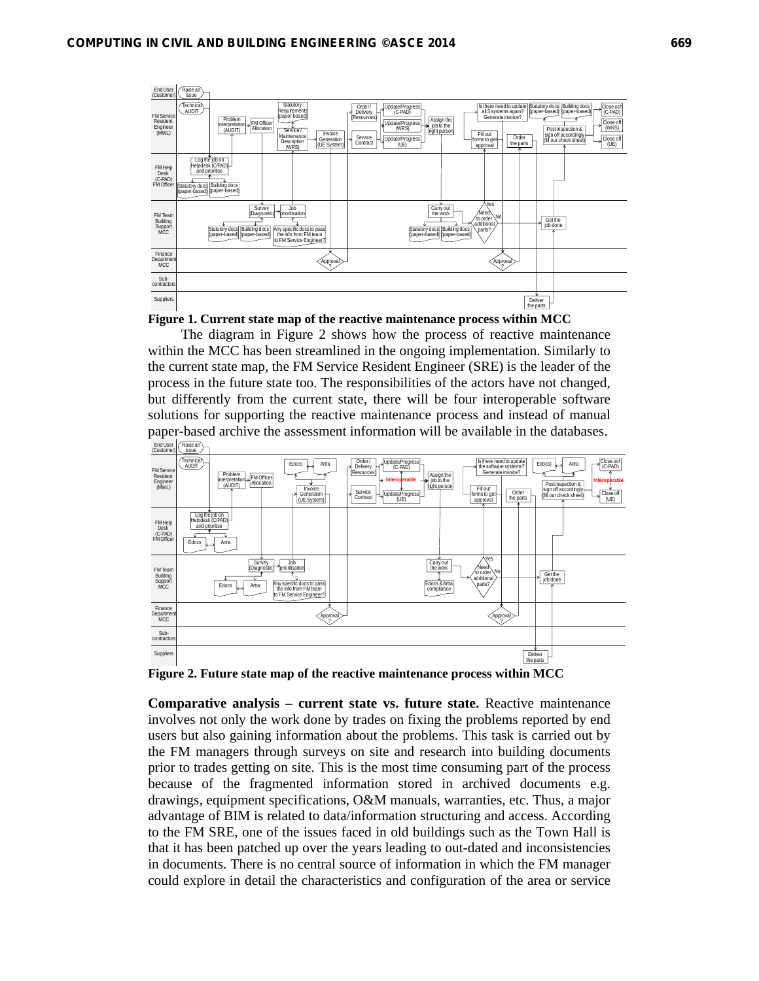

**Figure 1. Current state map of the reactive maintenance process within MCC** 

The diagram in Figure 2 shows how the process of reactive maintenance within the MCC has been streamlined in the ongoing implementation. Similarly to the current state map, the FM Service Resident Engineer (SRE) is the leader of the process in the future state too. The responsibilities of the actors have not changed, but differently from the current state, there will be four interoperable software solutions for supporting the reactive maintenance process and instead of manual paper-based archive the assessment information will be available in the databases. End User (Customer) Raise an



**Figure 2. Future state map of the reactive maintenance process within MCC** 

**Comparative analysis – current state vs. future state.** Reactive maintenance involves not only the work done by trades on fixing the problems reported by end users but also gaining information about the problems. This task is carried out by the FM managers through surveys on site and research into building documents prior to trades getting on site. This is the most time consuming part of the process because of the fragmented information stored in archived documents e.g. drawings, equipment specifications, O&M manuals, warranties, etc. Thus, a major advantage of BIM is related to data/information structuring and access. According to the FM SRE, one of the issues faced in old buildings such as the Town Hall is that it has been patched up over the years leading to out-dated and inconsistencies in documents. There is no central source of information in which the FM manager could explore in detail the characteristics and configuration of the area or service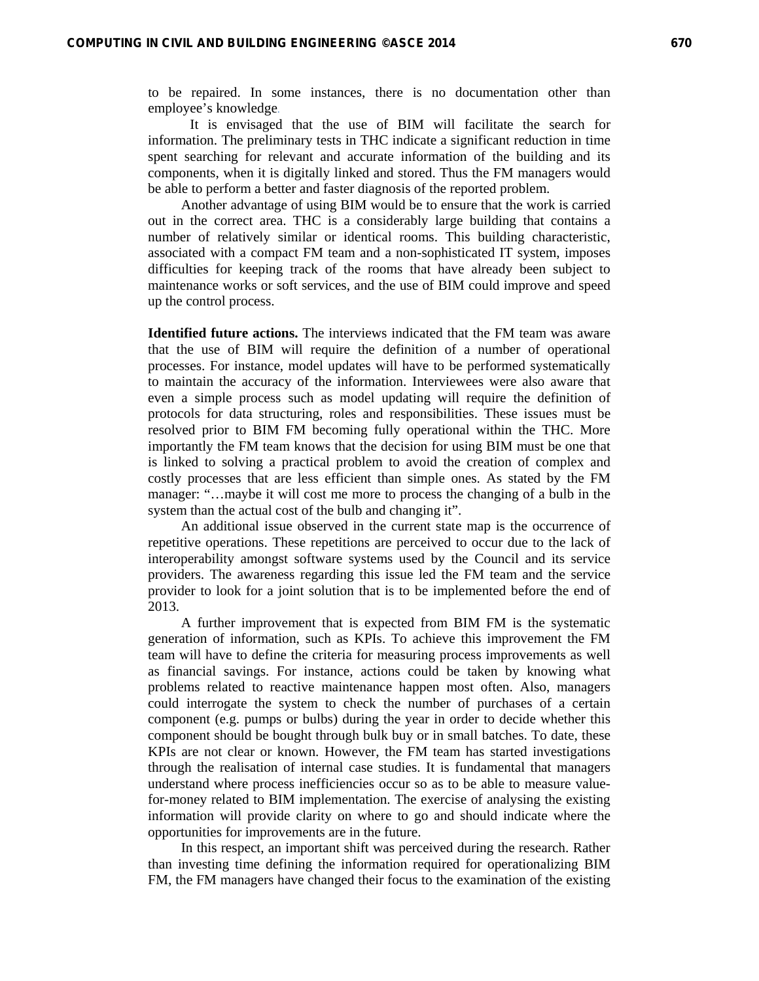to be repaired. In some instances, there is no documentation other than employee's knowledge.

It is envisaged that the use of BIM will facilitate the search for information. The preliminary tests in THC indicate a significant reduction in time spent searching for relevant and accurate information of the building and its components, when it is digitally linked and stored. Thus the FM managers would be able to perform a better and faster diagnosis of the reported problem.

Another advantage of using BIM would be to ensure that the work is carried out in the correct area. THC is a considerably large building that contains a number of relatively similar or identical rooms. This building characteristic, associated with a compact FM team and a non-sophisticated IT system, imposes difficulties for keeping track of the rooms that have already been subject to maintenance works or soft services, and the use of BIM could improve and speed up the control process.

**Identified future actions.** The interviews indicated that the FM team was aware that the use of BIM will require the definition of a number of operational processes. For instance, model updates will have to be performed systematically to maintain the accuracy of the information. Interviewees were also aware that even a simple process such as model updating will require the definition of protocols for data structuring, roles and responsibilities. These issues must be resolved prior to BIM FM becoming fully operational within the THC. More importantly the FM team knows that the decision for using BIM must be one that is linked to solving a practical problem to avoid the creation of complex and costly processes that are less efficient than simple ones. As stated by the FM manager: "…maybe it will cost me more to process the changing of a bulb in the system than the actual cost of the bulb and changing it".

An additional issue observed in the current state map is the occurrence of repetitive operations. These repetitions are perceived to occur due to the lack of interoperability amongst software systems used by the Council and its service providers. The awareness regarding this issue led the FM team and the service provider to look for a joint solution that is to be implemented before the end of 2013.

A further improvement that is expected from BIM FM is the systematic generation of information, such as KPIs. To achieve this improvement the FM team will have to define the criteria for measuring process improvements as well as financial savings. For instance, actions could be taken by knowing what problems related to reactive maintenance happen most often. Also, managers could interrogate the system to check the number of purchases of a certain component (e.g. pumps or bulbs) during the year in order to decide whether this component should be bought through bulk buy or in small batches. To date, these KPIs are not clear or known. However, the FM team has started investigations through the realisation of internal case studies. It is fundamental that managers understand where process inefficiencies occur so as to be able to measure valuefor-money related to BIM implementation. The exercise of analysing the existing information will provide clarity on where to go and should indicate where the opportunities for improvements are in the future.

In this respect, an important shift was perceived during the research. Rather than investing time defining the information required for operationalizing BIM FM, the FM managers have changed their focus to the examination of the existing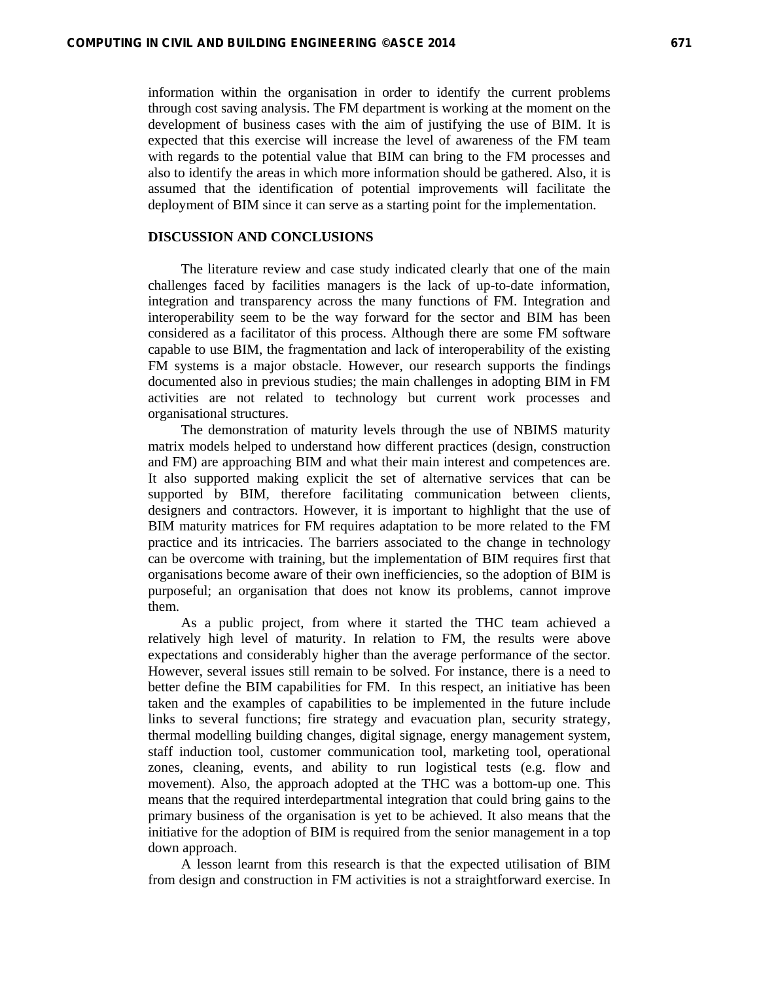information within the organisation in order to identify the current problems through cost saving analysis. The FM department is working at the moment on the development of business cases with the aim of justifying the use of BIM. It is expected that this exercise will increase the level of awareness of the FM team with regards to the potential value that BIM can bring to the FM processes and also to identify the areas in which more information should be gathered. Also, it is assumed that the identification of potential improvements will facilitate the deployment of BIM since it can serve as a starting point for the implementation.

#### **DISCUSSION AND CONCLUSIONS**

The literature review and case study indicated clearly that one of the main challenges faced by facilities managers is the lack of up-to-date information, integration and transparency across the many functions of FM. Integration and interoperability seem to be the way forward for the sector and BIM has been considered as a facilitator of this process. Although there are some FM software capable to use BIM, the fragmentation and lack of interoperability of the existing FM systems is a major obstacle. However, our research supports the findings documented also in previous studies; the main challenges in adopting BIM in FM activities are not related to technology but current work processes and organisational structures.

The demonstration of maturity levels through the use of NBIMS maturity matrix models helped to understand how different practices (design, construction and FM) are approaching BIM and what their main interest and competences are. It also supported making explicit the set of alternative services that can be supported by BIM, therefore facilitating communication between clients, designers and contractors. However, it is important to highlight that the use of BIM maturity matrices for FM requires adaptation to be more related to the FM practice and its intricacies. The barriers associated to the change in technology can be overcome with training, but the implementation of BIM requires first that organisations become aware of their own inefficiencies, so the adoption of BIM is purposeful; an organisation that does not know its problems, cannot improve them.

As a public project, from where it started the THC team achieved a relatively high level of maturity. In relation to FM, the results were above expectations and considerably higher than the average performance of the sector. However, several issues still remain to be solved. For instance, there is a need to better define the BIM capabilities for FM. In this respect, an initiative has been taken and the examples of capabilities to be implemented in the future include links to several functions; fire strategy and evacuation plan, security strategy, thermal modelling building changes, digital signage, energy management system, staff induction tool, customer communication tool, marketing tool, operational zones, cleaning, events, and ability to run logistical tests (e.g. flow and movement). Also, the approach adopted at the THC was a bottom-up one. This means that the required interdepartmental integration that could bring gains to the primary business of the organisation is yet to be achieved. It also means that the initiative for the adoption of BIM is required from the senior management in a top down approach.

A lesson learnt from this research is that the expected utilisation of BIM from design and construction in FM activities is not a straightforward exercise. In